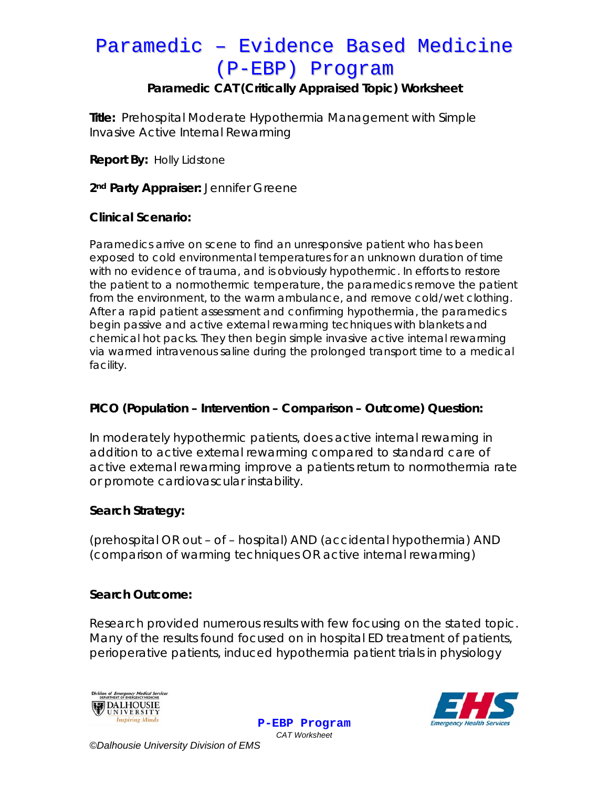### **Paramedic CAT (Critically Appraised Topic) Worksheet**

**Title:** Prehospital Moderate Hypothermia Management with Simple Invasive Active Internal Rewarming

**Report By:** Holly Lidstone

2<sup>nd</sup> Party Appraiser: Jennifer Greene

#### **Clinical Scenario:**

Paramedics arrive on scene to find an unresponsive patient who has been exposed to cold environmental temperatures for an unknown duration of time with no evidence of trauma, and is obviously hypothermic. In efforts to restore the patient to a normothermic temperature, the paramedics remove the patient from the environment, to the warm ambulance, and remove cold/wet clothing. After a rapid patient assessment and confirming hypothermia, the paramedics begin passive and active external rewarming techniques with blankets and chemical hot packs. They then begin simple invasive active internal rewarming via warmed intravenous saline during the prolonged transport time to a medical facility.

#### **PICO (Population – Intervention – Comparison – Outcome) Question:**

In moderately hypothermic patients, does active internal rewaming in addition to active external rewarming compared to standard care of active external rewarming improve a patients return to normothermia rate or promote cardiovascular instability.

#### **Search Strategy:**

(prehospital OR out – of – hospital) AND (accidental hypothermia) AND (comparison of warming techniques OR active internal rewarming)

#### **Search Outcome:**

Research provided numerous results with few focusing on the stated topic. Many of the results found focused on in hospital ED treatment of patients, perioperative patients, induced hypothermia patient trials in physiology

> **P-EBP Program** *CAT Worksheet*





*©Dalhousie University Division of EMS*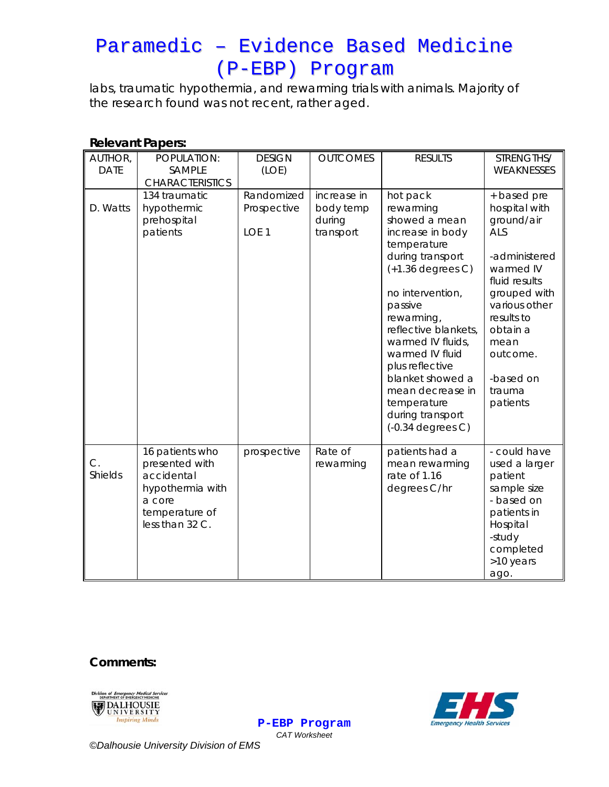labs, traumatic hypothermia, and rewarming trials with animals. Majority of the research found was not recent, rather aged.

#### **Relevant Papers:**

| AUTHOR,<br><b>DATE</b> | POPULATION:<br>SAMPLE<br><b>CHARACTERISTICS</b>                                                                    | <b>DESIGN</b><br>(LOE)                        | <b>OUTCOMES</b>                                 | <b>RESULTS</b>                                                                                                                                                                                                                                                                                                                                         | STRENGTHS/<br>WEAKNESSES                                                                                                                                                                                           |
|------------------------|--------------------------------------------------------------------------------------------------------------------|-----------------------------------------------|-------------------------------------------------|--------------------------------------------------------------------------------------------------------------------------------------------------------------------------------------------------------------------------------------------------------------------------------------------------------------------------------------------------------|--------------------------------------------------------------------------------------------------------------------------------------------------------------------------------------------------------------------|
| D. Watts               | 134 traumatic<br>hypothermic<br>prehospital<br>patients                                                            | Randomized<br>Prospective<br>LOE <sub>1</sub> | increase in<br>body temp<br>during<br>transport | hot pack<br>rewarming<br>showed a mean<br>increase in body<br>temperature<br>during transport<br>$(+1.36$ degrees C)<br>no intervention,<br>passive<br>rewarming,<br>reflective blankets,<br>warmed IV fluids,<br>warmed IV fluid<br>plus reflective<br>blanket showed a<br>mean decrease in<br>temperature<br>during transport<br>$(-0.34$ degrees C) | + based pre<br>hospital with<br>ground/air<br>ALS<br>-administered<br>warmed IV<br>fluid results<br>grouped with<br>various other<br>results to<br>obtain a<br>mean<br>outcome.<br>-based on<br>trauma<br>patients |
| C.<br>Shields          | 16 patients who<br>presented with<br>accidental<br>hypothermia with<br>a core<br>temperature of<br>less than 32 C. | prospective                                   | Rate of<br>rewarming                            | patients had a<br>mean rewarming<br>rate of 1.16<br>degrees C/hr                                                                                                                                                                                                                                                                                       | - could have<br>used a larger<br>patient<br>sample size<br>- based on<br>patients in<br>Hospital<br>-study<br>completed<br>>10 years<br>ago.                                                                       |

**Comments:** 





**P-EBP Program** *CAT Worksheet* 

*©Dalhousie University Division of EMS*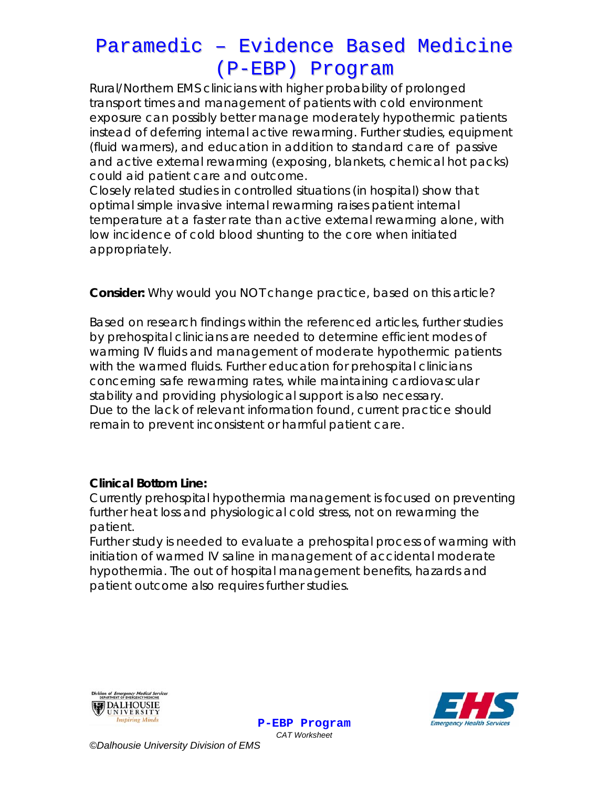Rural/Northern EMS clinicians with higher probability of prolonged transport times and management of patients with cold environment exposure can possibly better manage moderately hypothermic patients instead of deferring internal active rewarming. Further studies, equipment (fluid warmers), and education in addition to standard care of passive and active external rewarming (exposing, blankets, chemical hot packs) could aid patient care and outcome.

Closely related studies in controlled situations (in hospital) show that optimal simple invasive internal rewarming raises patient internal temperature at a faster rate than active external rewarming alone, with low incidence of cold blood shunting to the core when initiated appropriately.

### **Consider:** *Why would you NOT change practice, based on this article?*

Based on research findings within the referenced articles, further studies by prehospital clinicians are needed to determine efficient modes of warming IV fluids and management of moderate hypothermic patients with the warmed fluids. Further education for prehospital clinicians concerning safe rewarming rates, while maintaining cardiovascular stability and providing physiological support is also necessary. Due to the lack of relevant information found, current practice should remain to prevent inconsistent or harmful patient care.

### **Clinical Bottom Line:**

Currently prehospital hypothermia management is focused on preventing further heat loss and physiological cold stress, not on rewarming the patient.

Further study is needed to evaluate a prehospital process of warming with initiation of warmed IV saline in management of accidental moderate hypothermia. The out of hospital management benefits, hazards and patient outcome also requires further studies.

**P-EBP Program**





*CAT Worksheet ©Dalhousie University Division of EMS*